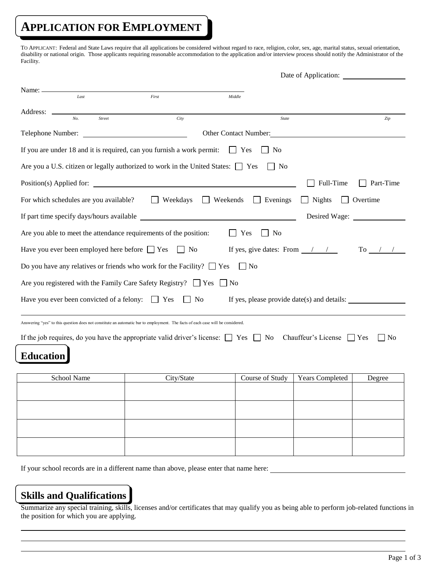# **APPLICATION FOR EMPLOYMENT**

TO APPLICANT: Federal and State Laws require that all applications be considered without regard to race, religion, color, sex, age, marital status, sexual orientation, disability or national origin. Those applicants requiring reasonable accommodation to the application and/or interview process should notify the Administrator of the Facility.

|                                                                                                                                 |                                 | Date of Application:                                       |                        |                         |
|---------------------------------------------------------------------------------------------------------------------------------|---------------------------------|------------------------------------------------------------|------------------------|-------------------------|
| Name: $\equiv$<br>Last                                                                                                          | First                           | Middle                                                     |                        |                         |
| Address: ______<br>No.<br>Street                                                                                                | City                            | <b>State</b>                                               |                        | Zip                     |
| Telephone Number:                                                                                                               |                                 | Other Contact Number:                                      |                        |                         |
| If you are under 18 and it is required, can you furnish a work permit:                                                          |                                 | $\vert$   Yes<br>N <sub>0</sub>                            |                        |                         |
| Are you a U.S. citizen or legally authorized to work in the United States: $\Box$ Yes                                           |                                 | $\mathsf{I}$   No                                          |                        |                         |
|                                                                                                                                 |                                 |                                                            | Full-Time              | Part-Time               |
| For which schedules are you available?                                                                                          | $\Box$ Weekdays $\Box$ Weekends | $\Box$ Evenings                                            | <b>Nights</b>          | Overtime                |
| If part time specify days/hours available                                                                                       |                                 |                                                            | Desired Wage:          |                         |
| Are you able to meet the attendance requirements of the position:                                                               |                                 | Yes<br>  No                                                |                        |                         |
| Have you ever been employed here before $\Box$ Yes                                                                              | $\vert$   No                    | If yes, give dates: From $\frac{\ }{\ }$ / $\frac{\ }{\ }$ |                        | To $\frac{1}{\sqrt{2}}$ |
| Do you have any relatives or friends who work for the Facility? $\Box$ Yes                                                      |                                 | $\vert$ No                                                 |                        |                         |
| Are you registered with the Family Care Safety Registry? $\Box$ Yes                                                             |                                 | No                                                         |                        |                         |
| Have you ever been convicted of a felony: $\Box$ Yes<br>No<br>If yes, please provide date(s) and details:                       |                                 |                                                            |                        |                         |
| Answering "yes" to this question does not constitute an automatic bar to employment. The facts of each case will be considered. |                                 |                                                            |                        |                         |
| If the job requires, do you have the appropriate valid driver's license: $\Box$ Yes $\Box$ No Chauffeur's License $\Box$ Yes    |                                 |                                                            |                        | l No                    |
| <b>Education</b>                                                                                                                |                                 |                                                            |                        |                         |
| School Name                                                                                                                     | City/State                      | Course of Study                                            | <b>Years Completed</b> | Degree                  |
|                                                                                                                                 |                                 |                                                            |                        |                         |
|                                                                                                                                 |                                 |                                                            |                        |                         |
|                                                                                                                                 |                                 |                                                            |                        |                         |
|                                                                                                                                 |                                 |                                                            |                        |                         |

If your school records are in a different name than above, please enter that name here:

### **Skills and Qualifications**

Summarize any special training, skills, licenses and/or certificates that may qualify you as being able to perform job-related functions in the position for which you are applying.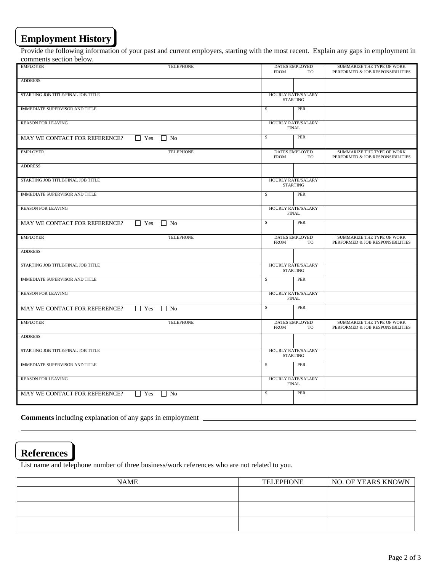# **Employment History**

Provide the following information of your past and current employers, starting with the most recent. Explain any gaps in employment in comments section below.

| <b>EMPLOYER</b>                       | <b>TELEPHONE</b>          | DATES EMPLOYED<br><b>FROM</b>                | TO        | SUMMARIZE THE TYPE OF WORK<br>PERFORMED & JOB RESPONSIBILITIES |
|---------------------------------------|---------------------------|----------------------------------------------|-----------|----------------------------------------------------------------|
| <b>ADDRESS</b>                        |                           |                                              |           |                                                                |
| STARTING JOB TITLE/FINAL JOB TITLE    |                           | <b>HOURLY RATE/SALARY</b><br><b>STARTING</b> |           |                                                                |
| <b>IMMEDIATE SUPERVISOR AND TITLE</b> |                           | \$                                           | PER       |                                                                |
| <b>REASON FOR LEAVING</b>             |                           | HOURLY RATE/SALARY<br><b>FINAL</b>           |           |                                                                |
| MAY WE CONTACT FOR REFERENCE?         | $\Box$ Yes<br>$\Box$ No   | \$                                           | PER       |                                                                |
| <b>EMPLOYER</b>                       | <b>TELEPHONE</b>          | <b>DATES EMPLOYED</b><br><b>FROM</b>         | TO        | SUMMARIZE THE TYPE OF WORK<br>PERFORMED & JOB RESPONSIBILITIES |
| <b>ADDRESS</b>                        |                           |                                              |           |                                                                |
| STARTING JOB TITLE/FINAL JOB TITLE    |                           | HOURLY RATE/SALARY<br><b>STARTING</b>        |           |                                                                |
| <b>IMMEDIATE SUPERVISOR AND TITLE</b> |                           | \$                                           | PER       |                                                                |
| <b>REASON FOR LEAVING</b>             |                           | HOURLY RATE/SALARY<br><b>FINAL</b>           |           |                                                                |
| MAY WE CONTACT FOR REFERENCE?         | $\Gamma$ Yes<br>$\Box$ No | $\mathbb{S}$                                 | PER       |                                                                |
|                                       |                           |                                              |           |                                                                |
| <b>EMPLOYER</b>                       | <b>TELEPHONE</b>          | DATES EMPLOYED<br><b>FROM</b>                | TO        | SUMMARIZE THE TYPE OF WORK<br>PERFORMED & JOB RESPONSIBILITIES |
| <b>ADDRESS</b>                        |                           |                                              |           |                                                                |
| STARTING JOB TITLE/FINAL JOB TITLE    |                           | HOURLY RATE/SALARY<br><b>STARTING</b>        |           |                                                                |
| <b>IMMEDIATE SUPERVISOR AND TITLE</b> |                           | $\mathbb{S}$                                 | PER       |                                                                |
| <b>REASON FOR LEAVING</b>             |                           | <b>HOURLY RATE/SALARY</b><br><b>FINAL</b>    |           |                                                                |
| MAY WE CONTACT FOR REFERENCE?         | $\Box$ Yes<br>$\Box$ No   | $\mathbb{S}$                                 | PER       |                                                                |
| <b>EMPLOYER</b>                       | <b>TELEPHONE</b>          | <b>DATES EMPLOYED</b><br><b>FROM</b>         | <b>TO</b> | SUMMARIZE THE TYPE OF WORK<br>PERFORMED & JOB RESPONSIBILITIES |
| <b>ADDRESS</b>                        |                           |                                              |           |                                                                |
| STARTING JOB TITLE/FINAL JOB TITLE    |                           | HOURLY RATE/SALARY<br><b>STARTING</b>        |           |                                                                |
| <b>IMMEDIATE SUPERVISOR AND TITLE</b> |                           | $\mathbb{S}$                                 | PER       |                                                                |
| <b>REASON FOR LEAVING</b>             |                           | <b>HOURLY RATE/SALARY</b><br><b>FINAL</b>    |           |                                                                |

**Comments** including explanation of any gaps in employment

### **References**

List name and telephone number of three business/work references who are not related to you.

| <b>NAME</b> | <b>TELEPHONE</b> | NO. OF YEARS KNOWN |
|-------------|------------------|--------------------|
|             |                  |                    |
|             |                  |                    |
|             |                  |                    |
|             |                  |                    |
|             |                  |                    |
|             |                  |                    |